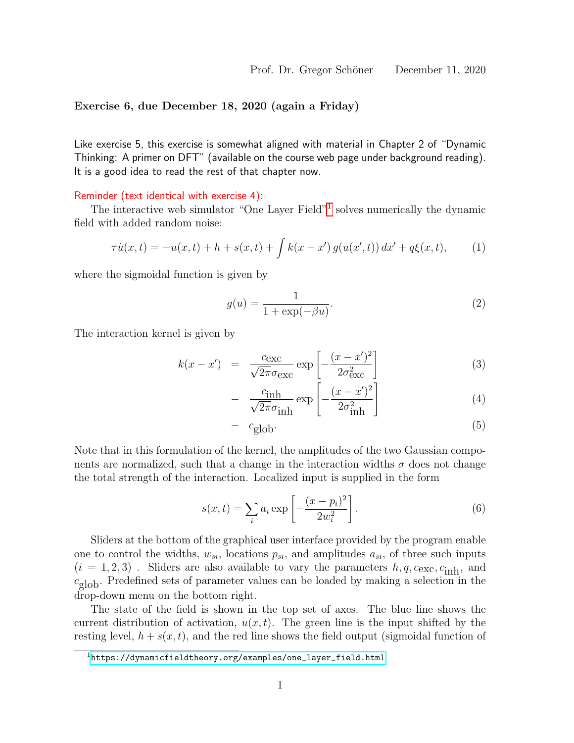## Exercise 6, due December 18, 2020 (again a Friday)

Like exercise 5, this exercise is somewhat aligned with material in Chapter 2 of "Dynamic Thinking: A primer on DFT" (available on the course web page under background reading). It is a good idea to read the rest of that chapter now.

## Reminder (text identical with exercise 4):

The interactive web simulator "One Layer Field"<sup>[1](#page-0-0)</sup> solves numerically the dynamic field with added random noise:

$$
\tau \dot{u}(x,t) = -u(x,t) + h + s(x,t) + \int k(x-x') g(u(x',t)) dx' + q\xi(x,t), \qquad (1)
$$

where the sigmoidal function is given by

$$
g(u) = \frac{1}{1 + \exp(-\beta u)}.\tag{2}
$$

The interaction kernel is given by

$$
k(x - x') = \frac{c_{\text{exc}}}{\sqrt{2\pi}\sigma_{\text{exc}}} \exp\left[-\frac{(x - x')^2}{2\sigma_{\text{exc}}^2}\right]
$$
(3)

$$
- \frac{c_{\text{inh}}}{\sqrt{2\pi}\sigma_{\text{inh}}} \exp\left[-\frac{(x-x')^2}{2\sigma_{\text{inh}}^2}\right]
$$
(4)

$$
- c_{\text{glob}}. \tag{5}
$$

Note that in this formulation of the kernel, the amplitudes of the two Gaussian components are normalized, such that a change in the interaction widths  $\sigma$  does not change the total strength of the interaction. Localized input is supplied in the form

$$
s(x,t) = \sum_{i} a_i \exp\left[-\frac{(x-p_i)^2}{2w_i^2}\right].
$$
 (6)

Sliders at the bottom of the graphical user interface provided by the program enable one to control the widths,  $w_{si}$ , locations  $p_{si}$ , and amplitudes  $a_{si}$ , of three such inputs  $(i = 1, 2, 3)$ . Sliders are also available to vary the parameters  $h, q, c_{\text{exc}}, c_{\text{inh}}$ , and  $c_{\text{glob}}$ . Predefined sets of parameter values can be loaded by making a selection in the drop-down menu on the bottom right.

The state of the field is shown in the top set of axes. The blue line shows the current distribution of activation,  $u(x, t)$ . The green line is the input shifted by the resting level,  $h + s(x, t)$ , and the red line shows the field output (sigmoidal function of

<span id="page-0-0"></span> $1$ [https://dynamicfieldtheory.org/examples/one\\_layer\\_field.html](https://dynamicfieldtheory.org/examples/one_layer_field.html)